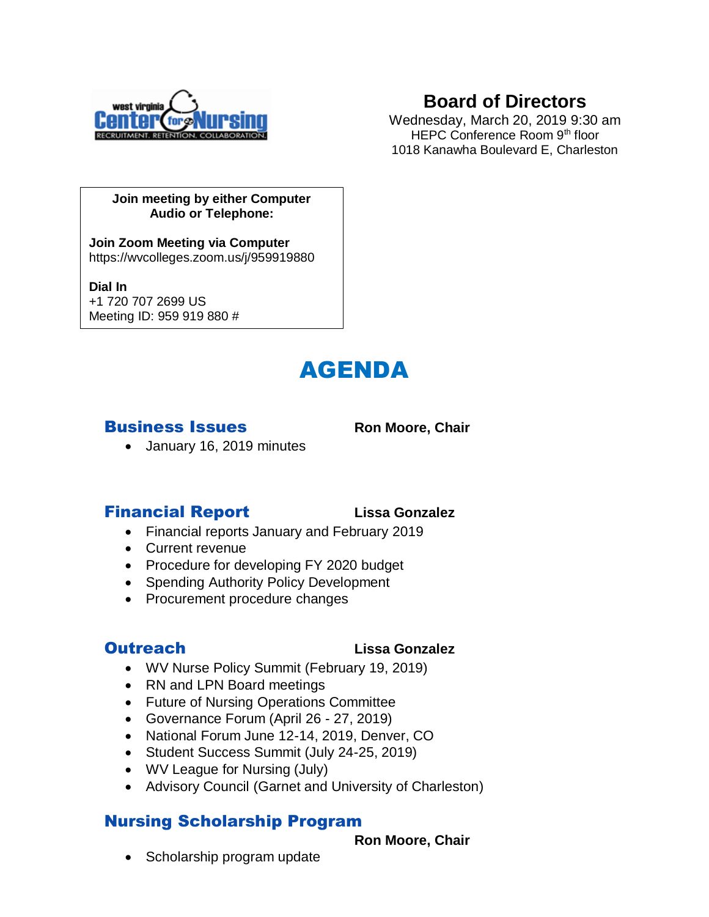

# **Board of Directors**

Wednesday, March 20, 2019 9:30 am HEPC Conference Room 9<sup>th</sup> floor 1018 Kanawha Boulevard E, Charleston

#### **Join meeting by either Computer Audio or Telephone:**

**Join Zoom Meeting via Computer** https://wvcolleges.zoom.us/j/959919880

**Dial In** +1 720 707 2699 US

Meeting ID: 959 919 880 #



## **Business Issues** Ron Moore, Chair

• January 16, 2019 minutes

# Financial Report **Lissa Gonzalez**

- Financial reports January and February 2019
- Current revenue
- Procedure for developing FY 2020 budget
- Spending Authority Policy Development
- Procurement procedure changes

### Outreach **Lissa Gonzalez**

- WV Nurse Policy Summit (February 19, 2019)
- RN and LPN Board meetings
- Future of Nursing Operations Committee
- Governance Forum (April 26 27, 2019)
- National Forum June 12-14, 2019, Denver, CO
- Student Success Summit (July 24-25, 2019)
- WV League for Nursing (July)
- Advisory Council (Garnet and University of Charleston)

# Nursing Scholarship Program

#### **Ron Moore, Chair**

• Scholarship program update